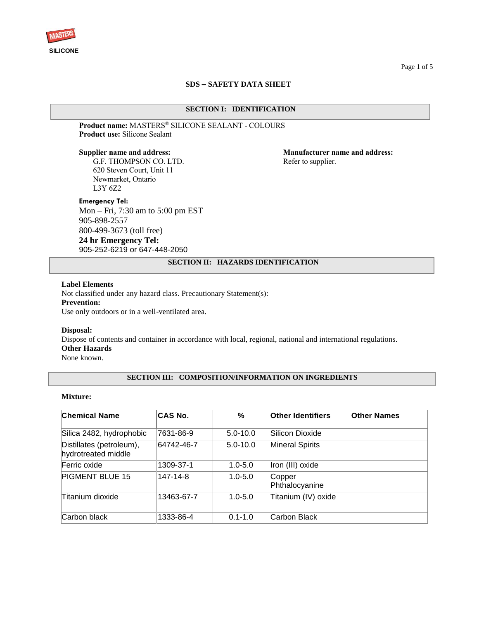

## **SDS – SAFETY DATA SHEET**

### **SECTION I: IDENTIFICATION**

### **Product name:** MASTERS® SILICONE SEALANT - COLOURS **Product use:** Silicone Sealant

G.F. THOMPSON CO. LTD. Refer to supplier. 620 Steven Court, Unit 11 Newmarket, Ontario L3Y 6Z2

### **Emergency Tel:**

Mon – Fri, 7:30 am to 5:00 pm EST 905-898-2557 800-499-3673 (toll free) **24 hr Emergency Tel:** 905-252-6219 or 647-448-2050

**Supplier name and address: Manufacturer name and address:**

# **SECTION II: HAZARDS IDENTIFICATION**

## **Label Elements**

Not classified under any hazard class. Precautionary Statement(s): **Prevention:** Use only outdoors or in a well-ventilated area.

#### **Disposal:**

Dispose of contents and container in accordance with local, regional, national and international regulations. **Other Hazards**

None known.

# **SECTION III: COMPOSITION/INFORMATION ON INGREDIENTS**

### **Mixture:**

| <b>Chemical Name</b>                            | CAS No.    | $\%$         | <b>Other Identifiers</b> | <b>Other Names</b> |
|-------------------------------------------------|------------|--------------|--------------------------|--------------------|
| Silica 2482, hydrophobic                        | 7631-86-9  | $5.0 - 10.0$ | Silicon Dioxide          |                    |
| Distillates (petroleum),<br>hydrotreated middle | 64742-46-7 | $5.0 - 10.0$ | <b>Mineral Spirits</b>   |                    |
| Ferric oxide                                    | 1309-37-1  | $1.0 - 5.0$  | Iron (III) oxide         |                    |
| PIGMENT BLUE 15                                 | 147-14-8   | $1.0 - 5.0$  | Copper<br>Phthalocyanine |                    |
| Titanium dioxide                                | 13463-67-7 | $1.0 - 5.0$  | Titanium (IV) oxide      |                    |
| Carbon black                                    | 1333-86-4  | $0.1 - 1.0$  | Carbon Black             |                    |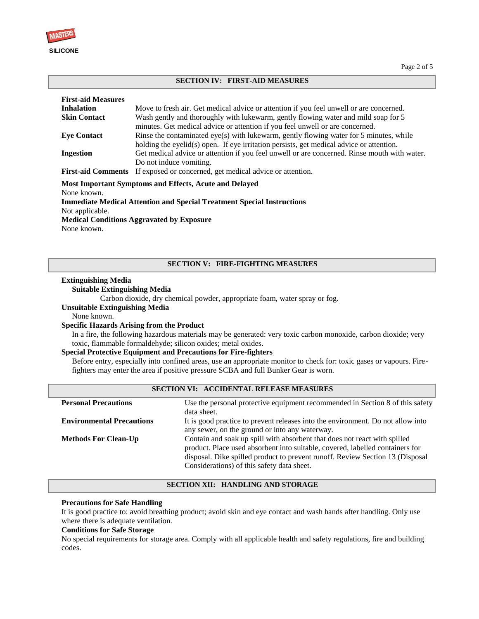

#### **SECTION IV: FIRST-AID MEASURES**

| <b>First-aid Measures</b><br><b>Inhalation</b><br><b>Skin Contact</b> | Move to fresh air. Get medical advice or attention if you feel unwell or are concerned.<br>Wash gently and thoroughly with lukewarm, gently flowing water and mild soap for 5                                                                                       |
|-----------------------------------------------------------------------|---------------------------------------------------------------------------------------------------------------------------------------------------------------------------------------------------------------------------------------------------------------------|
| <b>Eve Contact</b>                                                    | minutes. Get medical advice or attention if you feel unwell or are concerned.<br>Rinse the contaminated eye(s) with lukewarm, gently flowing water for 5 minutes, while<br>holding the eyelid(s) open. If eye irritation persists, get medical advice or attention. |
| <b>Ingestion</b>                                                      | Get medical advice or attention if you feel unwell or are concerned. Rinse mouth with water.<br>Do not induce vomiting.                                                                                                                                             |
|                                                                       | <b>First-aid Comments</b> If exposed or concerned, get medical advice or attention.                                                                                                                                                                                 |

**Most Important Symptoms and Effects, Acute and Delayed**  None known. **Immediate Medical Attention and Special Treatment Special Instructions** Not applicable. **Medical Conditions Aggravated by Exposure** None known.

# **SECTION V: FIRE-FIGHTING MEASURES**

#### **Extinguishing Media**

# **Suitable Extinguishing Media**

Carbon dioxide, dry chemical powder, appropriate foam, water spray or fog.

**Unsuitable Extinguishing Media**

None known.

#### **Specific Hazards Arising from the Product**

In a fire, the following hazardous materials may be generated: very toxic carbon monoxide, carbon dioxide; very toxic, flammable formaldehyde; silicon oxides; metal oxides.

#### **Special Protective Equipment and Precautions for Fire-fighters**

Before entry, especially into confined areas, use an appropriate monitor to check for: toxic gases or vapours. Firefighters may enter the area if positive pressure SCBA and full Bunker Gear is worn.

| SECTION VI: ACCIDENTAL RELEASE MEASURES |                                                                                                                                                                                                                                                                                           |  |  |
|-----------------------------------------|-------------------------------------------------------------------------------------------------------------------------------------------------------------------------------------------------------------------------------------------------------------------------------------------|--|--|
| <b>Personal Precautions</b>             | Use the personal protective equipment recommended in Section 8 of this safety<br>data sheet.                                                                                                                                                                                              |  |  |
| <b>Environmental Precautions</b>        | It is good practice to prevent releases into the environment. Do not allow into<br>any sewer, on the ground or into any waterway.                                                                                                                                                         |  |  |
| <b>Methods For Clean-Up</b>             | Contain and soak up spill with absorbent that does not react with spilled<br>product. Place used absorbent into suitable, covered, labelled containers for<br>disposal. Dike spilled product to prevent runoff. Review Section 13 (Disposal<br>Considerations) of this safety data sheet. |  |  |

# **SECTION XII: HANDLING AND STORAGE**

### **Precautions for Safe Handling**

It is good practice to: avoid breathing product; avoid skin and eye contact and wash hands after handling. Only use where there is adequate ventilation.

# **Conditions for Safe Storage**

No special requirements for storage area. Comply with all applicable health and safety regulations, fire and building codes.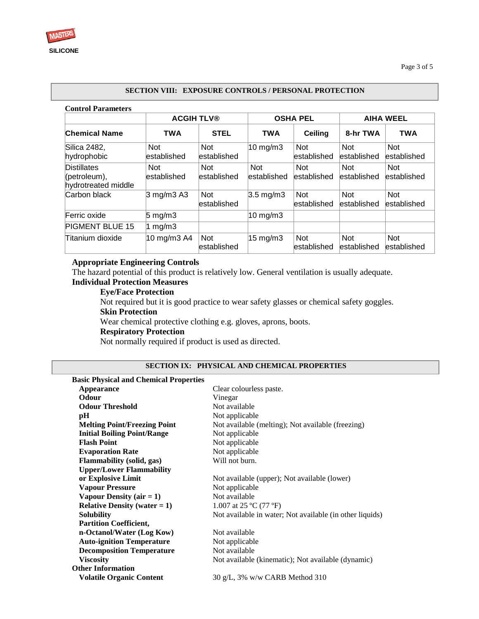# **Control Parameters SECTION VIII: EXPOSURE CONTROLS / PERSONAL PROTECTION**

|                                                               | <b>ACGIH TLV®</b>         |                            | <b>OSHA PEL</b>           |                           | <b>AIHA WEEL</b>           |                            |
|---------------------------------------------------------------|---------------------------|----------------------------|---------------------------|---------------------------|----------------------------|----------------------------|
| <b>Chemical Name</b>                                          | <b>TWA</b>                | <b>STEL</b>                | <b>TWA</b>                | Ceiling                   | 8-hr TWA                   | <b>TWA</b>                 |
| Silica 2482,<br>hydrophobic                                   | <b>Not</b><br>established | <b>Not</b><br>lestablished | $10 \text{ mg/m}$         | <b>Not</b><br>established | <b>Not</b><br>lestablished | <b>Not</b><br>lestablished |
| <b>Distillates</b><br>$[$ (petroleum),<br>hydrotreated middle | <b>Not</b><br>established | <b>Not</b><br>established  | <b>Not</b><br>established | <b>Not</b><br>established | <b>Not</b><br>established  | <b>Not</b><br>lestablished |
| Carbon black                                                  | 3 mg/m3 A3                | <b>Not</b><br>established  | $3.5 \text{ mg/m}$        | <b>Not</b><br>established | <b>Not</b><br>established  | <b>Not</b><br>established  |
| Ferric oxide                                                  | $5 \text{ mg/m}$ 3        |                            | $10 \text{ mg/m}$         |                           |                            |                            |
| <b>PIGMENT BLUE 15</b>                                        | 1 $mg/m3$                 |                            |                           |                           |                            |                            |
| Titanium dioxide                                              | 10 mg/m3 A4               | <b>Not</b><br>established  | $15 \text{ mg/m}$         | <b>Not</b><br>established | <b>Not</b><br>lestablished | <b>Not</b><br>lestablished |

# **Appropriate Engineering Controls**

The hazard potential of this product is relatively low. General ventilation is usually adequate.

# **Individual Protection Measures**

**Eye/Face Protection**

Not required but it is good practice to wear safety glasses or chemical safety goggles. **Skin Protection** Wear chemical protective clothing e.g. gloves, aprons, boots.

# **Respiratory Protection**

Not normally required if product is used as directed.

# **SECTION IX: PHYSICAL AND CHEMICAL PROPERTIES**

| <b>Basic Physical and Chemical Properties</b> |                                                          |
|-----------------------------------------------|----------------------------------------------------------|
| Appearance                                    | Clear colourless paste.                                  |
| <b>Odour</b>                                  | Vinegar                                                  |
| <b>Odour Threshold</b>                        | Not available                                            |
| pН                                            | Not applicable                                           |
| <b>Melting Point/Freezing Point</b>           | Not available (melting); Not available (freezing)        |
| <b>Initial Boiling Point/Range</b>            | Not applicable                                           |
| <b>Flash Point</b>                            | Not applicable                                           |
| <b>Evaporation Rate</b>                       | Not applicable                                           |
| <b>Flammability</b> (solid, gas)              | Will not burn.                                           |
| <b>Upper/Lower Flammability</b>               |                                                          |
| or Explosive Limit                            | Not available (upper); Not available (lower)             |
| <b>Vapour Pressure</b>                        | Not applicable                                           |
| Vapour Density $(air = 1)$                    | Not available                                            |
| <b>Relative Density (water = 1)</b>           | 1.007 at 25 $^{\circ}$ C (77 $^{\circ}$ F)               |
| <b>Solubility</b>                             | Not available in water; Not available (in other liquids) |
| <b>Partition Coefficient,</b>                 |                                                          |
| n-Octanol/Water (Log Kow)                     | Not available                                            |
| <b>Auto-ignition Temperature</b>              | Not applicable                                           |
| <b>Decomposition Temperature</b>              | Not available                                            |
| <b>Viscosity</b>                              | Not available (kinematic); Not available (dynamic)       |
| <b>Other Information</b>                      |                                                          |
| <b>Volatile Organic Content</b>               | 30 g/L, 3% w/w CARB Method 310                           |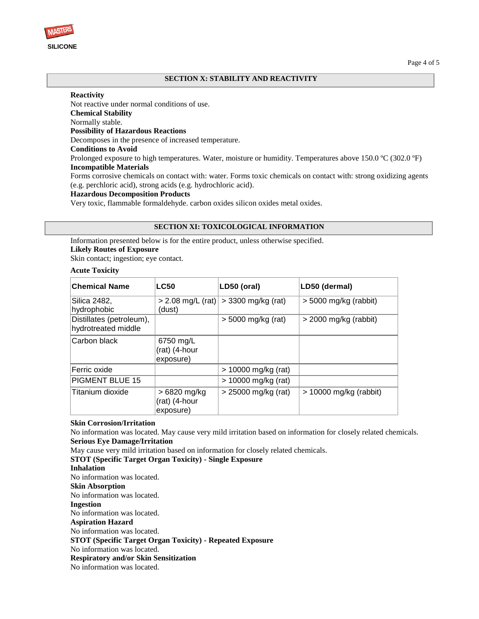

### **SECTION X: STABILITY AND REACTIVITY**

#### **Reactivity**

Not reactive under normal conditions of use. **Chemical Stability** Normally stable. **Possibility of Hazardous Reactions** Decomposes in the presence of increased temperature. **Conditions to Avoid** Prolonged exposure to high temperatures. Water, moisture or humidity. Temperatures above 150.0 °C (302.0 °F) **Incompatible Materials**

Forms corrosive chemicals on contact with: water. Forms toxic chemicals on contact with: strong oxidizing agents (e.g. perchloric acid), strong acids (e.g. hydrochloric acid).

### **Hazardous Decomposition Products**

Very toxic, flammable formaldehyde. carbon oxides silicon oxides metal oxides.

#### **SECTION XI: TOXICOLOGICAL INFORMATION**

Information presented below is for the entire product, unless otherwise specified.

#### **Likely Routes of Exposure**

Skin contact; ingestion; eye contact.

#### **Acute Toxicity**

| <b>Chemical Name</b>                            | <b>LC50</b>                                | LD50 (oral)           | LD50 (dermal)            |
|-------------------------------------------------|--------------------------------------------|-----------------------|--------------------------|
| Silica 2482,<br>hydrophobic                     | $> 2.08$ mg/L (rat)<br>(dust)              | $>$ 3300 mg/kg (rat)  | $>$ 5000 mg/kg (rabbit)  |
| Distillates (petroleum),<br>hydrotreated middle |                                            | $>$ 5000 mg/kg (rat)  | > 2000 mg/kg (rabbit)    |
| Carbon black                                    | 6750 mg/L<br>(rat) (4-hour<br>exposure)    |                       |                          |
| Ferric oxide                                    |                                            | > 10000 mg/kg (rat)   |                          |
| <b>PIGMENT BLUE 15</b>                          |                                            | $> 10000$ mg/kg (rat) |                          |
| Titanium dioxide                                | > 6820 mg/kg<br>(rat) (4-hour<br>exposure) | > 25000 mg/kg (rat)   | $> 10000$ mg/kg (rabbit) |

#### **Skin Corrosion/Irritation**

No information was located. May cause very mild irritation based on information for closely related chemicals. **Serious Eye Damage/Irritation** 

May cause very mild irritation based on information for closely related chemicals.

**STOT (Specific Target Organ Toxicity) - Single Exposure** 

# **Inhalation**

No information was located.

**Skin Absorption**

No information was located.

# **Ingestion**

No information was located.

**Aspiration Hazard**

No information was located.

**STOT (Specific Target Organ Toxicity) - Repeated Exposure**

## No information was located.

**Respiratory and/or Skin Sensitization** 

No information was located.